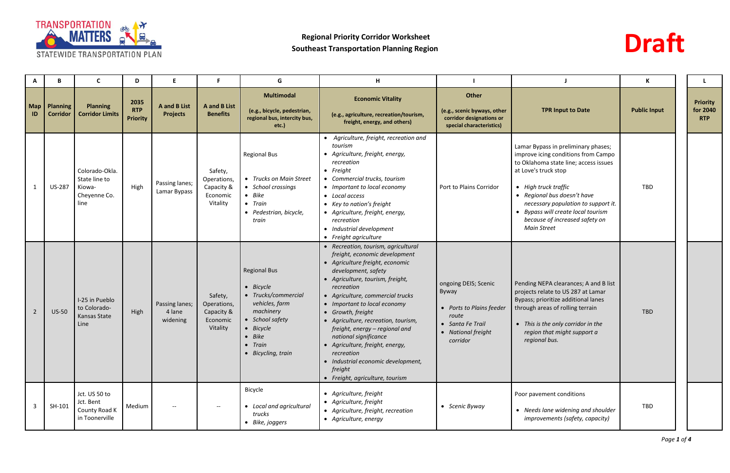



|                  | В                                  | C                                                                 | D                                     |                                               |                                                              | G                                                                                                                                                                           | H                                                                                                                                                                                                                                                                                                                                                                                                                                                                                                                |                                                                                                                          |                                                                                                                                                                                                                                                                                                                                         | К                   |                                           |
|------------------|------------------------------------|-------------------------------------------------------------------|---------------------------------------|-----------------------------------------------|--------------------------------------------------------------|-----------------------------------------------------------------------------------------------------------------------------------------------------------------------------|------------------------------------------------------------------------------------------------------------------------------------------------------------------------------------------------------------------------------------------------------------------------------------------------------------------------------------------------------------------------------------------------------------------------------------------------------------------------------------------------------------------|--------------------------------------------------------------------------------------------------------------------------|-----------------------------------------------------------------------------------------------------------------------------------------------------------------------------------------------------------------------------------------------------------------------------------------------------------------------------------------|---------------------|-------------------------------------------|
| <b>Map</b><br>ID | <b>Planning</b><br><b>Corridor</b> | <b>Planning</b><br><b>Corridor Limits</b>                         | 2035<br><b>RTP</b><br><b>Priority</b> | <b>A</b> and <b>B</b> List<br><b>Projects</b> | <b>A</b> and <b>B</b> List<br><b>Benefits</b>                | <b>Multimodal</b><br>(e.g., bicycle, pedestrian,<br>regional bus, intercity bus,<br>etc.)                                                                                   | <b>Economic Vitality</b><br>(e.g., agriculture, recreation/tourism,<br>freight, energy, and others)                                                                                                                                                                                                                                                                                                                                                                                                              | Other<br>(e.g., scenic byways, other<br>corridor designations or<br>special characteristics)                             | <b>TPR Input to Date</b>                                                                                                                                                                                                                                                                                                                | <b>Public Input</b> | <b>Priority</b><br>for 2040<br><b>RTP</b> |
|                  | <b>US-287</b>                      | Colorado-Okla.<br>State line to<br>Kiowa-<br>Cheyenne Co.<br>line | High                                  | Passing lanes;<br>Lamar Bypass                | Safety,<br>Operations,<br>Capacity &<br>Economic<br>Vitality | <b>Regional Bus</b><br>• Trucks on Main Street<br>• School crossings<br>$\bullet$ Bike<br>• Train<br>• Pedestrian, bicycle,<br>train                                        | • Agriculture, freight, recreation and<br>tourism<br>• Agriculture, freight, energy,<br>recreation<br>$\bullet$ Freight<br>• Commercial trucks, tourism<br>• Important to local economy<br>• Local access<br>• Key to nation's freight<br>• Agriculture, freight, energy,<br>recreation<br>• Industrial development<br>• Freight agriculture                                                                                                                                                                     | Port to Plains Corridor                                                                                                  | Lamar Bypass in preliminary phases;<br>improve icing conditions from Campo<br>to Oklahoma state line; access issues<br>at Love's truck stop<br>• High truck traffic<br>• Regional bus doesn't have<br>necessary population to support it.<br>• Bypass will create local tourism<br>because of increased safety on<br><b>Main Street</b> | <b>TBD</b>          |                                           |
| $\overline{2}$   | <b>US-50</b>                       | I-25 in Pueblo<br>to Colorado-<br>Kansas State<br>Line            | High                                  | Passing lanes;<br>4 lane<br>widening          | Safety,<br>Operations,<br>Capacity &<br>Economic<br>Vitality | <b>Regional Bus</b><br>• Bicycle<br>• Trucks/commercial<br>vehicles, farm<br>machinery<br>• School safety<br>• Bicycle<br>$- Bike$<br>$\bullet$ Train<br>• Bicycling, train | • Recreation, tourism, agricultural<br>freight, economic development<br>• Agriculture freight, economic<br>development, safety<br>• Agriculture, tourism, freight,<br>recreation<br>• Agriculture, commercial trucks<br>• Important to local economy<br>• Growth, freight<br>• Agriculture, recreation, tourism,<br>freight, energy - regional and<br>national significance<br>• Agriculture, freight, energy,<br>recreation<br>• Industrial economic development,<br>freight<br>• Freight, agriculture, tourism | ongoing DEIS; Scenic<br>Byway<br>• Ports to Plains feeder<br>route<br>• Santa Fe Trail<br>• National freight<br>corridor | Pending NEPA clearances; A and B list<br>projects relate to US 287 at Lamar<br>Bypass; prioritize additional lanes<br>through areas of rolling terrain<br>• This is the only corridor in the<br>region that might support a<br>regional bus.                                                                                            | <b>TBD</b>          |                                           |
| -3               | SH-101                             | Jct. US 50 to<br>Jct. Bent<br>County Road K<br>in Toonerville     | Medium                                | $\overline{\phantom{a}}$                      | $-$                                                          | Bicycle<br>• Local and agricultural<br>trucks<br>• Bike, joggers                                                                                                            | • Agriculture, freight<br>• Agriculture, freight<br>• Agriculture, freight, recreation<br>• Agriculture, energy                                                                                                                                                                                                                                                                                                                                                                                                  | • Scenic Byway                                                                                                           | Poor pavement conditions<br>• Needs lane widening and shoulder<br>improvements (safety, capacity)                                                                                                                                                                                                                                       | TBD                 |                                           |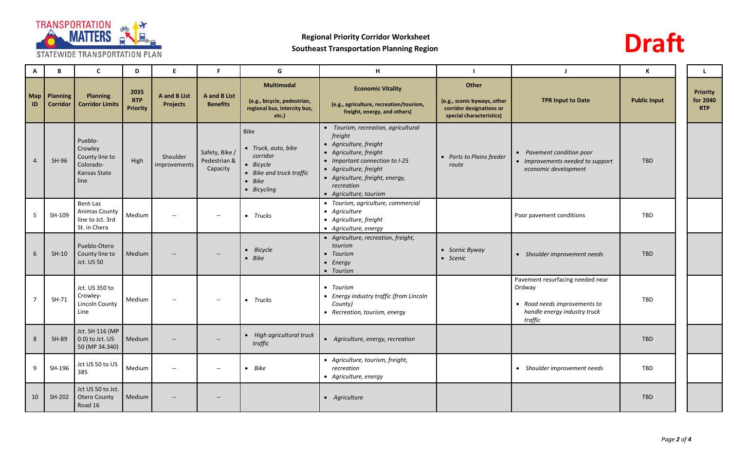

**A B C D E F G H I J K L Map ID Planning Corridor Planning Corridor Limits 2035 RTP Priority A and B List Projects A and B List Benefits Multimodal (e.g., bicycle, pedestrian, regional bus, intercity bus, etc.) Economic Vitality (e.g., agriculture, recreation/tourism, freight, energy, and others) Other (e.g., scenic byways, other corridor designations or special characteristics)** 4 SH-96 Pueblo-**Crowley** County line to Colorado-Kansas State line High Shoulder improvements Safety, Bike / Pedestrian & Capacity Bike *Truck, auto, bike corridor Bicycle Bike and truck traffic Bike Bicycling Tourism, recreation, agricultural freight Agriculture, freight Agriculture, freight Important connection to I-25 Agriculture, freight Agriculture, freight, energy, recreation Agriculture, tourism Ports to Plains feeder route* **•** *Pave Impr economic development* 5 | SH-109 Bent-Las Animas County line to Jct. 3rd St. in Chera Medium -- -- *Trucks Tourism, agriculture, commercial Agriculture Agriculture, freight Agriculture, energy* Poor pay 6 SH-10 Pueblo-Otero County line to Jct. US 50 Medium | -- *Bicycle Bike Agriculture, recreation, freight, tourism Tourism Energy Tourism Scenic Byway* 7 SH-71 Jct. US 350 to Crowley-Lincoln County Line Medium -- -- *Trucks Tourism Energy industry traffic (from Lincoln County) Recreation, tourism, energy* Pavemen Ordway *Road needs improvements to hand traffic* 8 SH-89 Jct. SH 116 (MP 0.0) to Jct. US 50 (MP 34.340)  $Median$  --  $\qquad$  -- *High agricultural truck trigh agriculture index* **•** Agriculture, energy, recreation traffic 9 SH-196 385 385 Medium -- - **-** *Bike Agriculture, tourism, freight, recreation Agriculture, energy*  $\bullet$  Shou 10 SH-202 Jct US 50 to Jct. Otero County Road 16 Medium **| Agriculture | Agriculture | Agriculture** | Agriculture | Agriculture | Agriculture | TBD



| ı                                                                                                   | J                                                                                                                         | К                   | L                                         |
|-----------------------------------------------------------------------------------------------------|---------------------------------------------------------------------------------------------------------------------------|---------------------|-------------------------------------------|
| <b>Other</b><br>(e.g., scenic byways, other<br>corridor designations or<br>special characteristics) | <b>TPR Input to Date</b>                                                                                                  | <b>Public Input</b> | <b>Priority</b><br>for 2040<br><b>RTP</b> |
| Ports to Plains feeder<br>$\bullet$<br>route                                                        | Pavement condition poor<br>Improvements needed to support<br>economic development                                         | <b>TBD</b>          |                                           |
|                                                                                                     | Poor pavement conditions                                                                                                  | <b>TBD</b>          |                                           |
| Scenic Byway<br>Scenic                                                                              | Shoulder improvement needs                                                                                                | <b>TBD</b>          |                                           |
|                                                                                                     | Pavement resurfacing needed near<br>Ordway<br>Road needs improvements to<br>handle energy industry truck<br>$\it traffic$ | <b>TBD</b>          |                                           |
|                                                                                                     |                                                                                                                           | <b>TBD</b>          |                                           |
|                                                                                                     | Shoulder improvement needs                                                                                                | <b>TBD</b>          |                                           |
|                                                                                                     |                                                                                                                           | <b>TBD</b>          |                                           |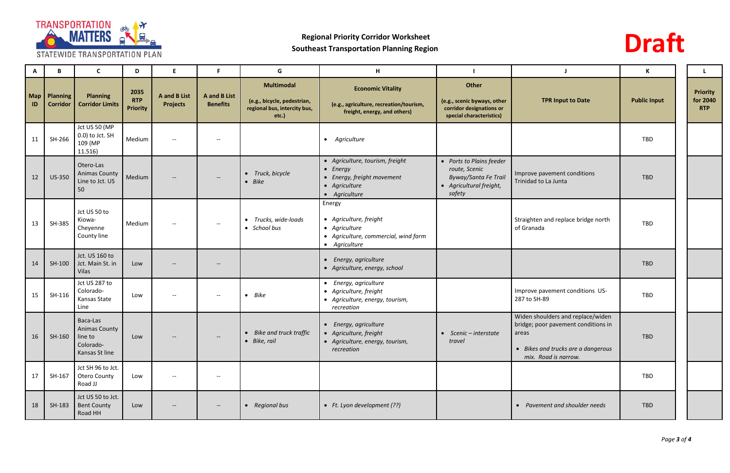



|    | B                                 | <b>C</b>                                                   | D                                     | Е                                             | F                               | G                                                                                         | H                                                                                                                   |                                                                                                        |                                                                                                                                                 | K                   |                                           |
|----|-----------------------------------|------------------------------------------------------------|---------------------------------------|-----------------------------------------------|---------------------------------|-------------------------------------------------------------------------------------------|---------------------------------------------------------------------------------------------------------------------|--------------------------------------------------------------------------------------------------------|-------------------------------------------------------------------------------------------------------------------------------------------------|---------------------|-------------------------------------------|
| ID | Map   Planning<br><b>Corridor</b> | <b>Planning</b><br><b>Corridor Limits</b>                  | 2035<br><b>RTP</b><br><b>Priority</b> | <b>A</b> and <b>B</b> List<br><b>Projects</b> | A and B List<br><b>Benefits</b> | <b>Multimodal</b><br>(e.g., bicycle, pedestrian,<br>regional bus, intercity bus,<br>etc.) | <b>Economic Vitality</b><br>(e.g., agriculture, recreation/tourism,<br>freight, energy, and others)                 | Other<br>(e.g., scenic byways, other<br>corridor designations or<br>special characteristics)           | <b>TPR Input to Date</b>                                                                                                                        | <b>Public Input</b> | <b>Priority</b><br>for 2040<br><b>RTP</b> |
| 11 | SH-266                            | Jct US 50 (MP<br>0.0) to Jct. SH<br>109 (MP<br>11.516)     | Medium                                | $\overline{\phantom{m}}$                      | $\overline{\phantom{a}}$        |                                                                                           | • Agriculture                                                                                                       |                                                                                                        |                                                                                                                                                 | <b>TBD</b>          |                                           |
| 12 | <b>US-350</b>                     | Otero-Las<br><b>Animas County</b><br>Line to Jct. US<br>50 | Medium                                |                                               | $\overline{\phantom{a}}$        | • Truck, bicycle<br>$- Bike$                                                              | • Agriculture, tourism, freight<br>$\bullet$ Energy<br>• Energy, freight movement<br>• Agriculture<br>• Agriculture | • Ports to Plains feeder<br>route, Scenic<br>Byway/Santa Fe Trail<br>• Agricultural freight,<br>safety | Improve pavement conditions<br>Trinidad to La Junta                                                                                             | <b>TBD</b>          |                                           |
| 13 | SH-385                            | Jct US 50 to<br>Kiowa-<br>Cheyenne<br>County line          | Medium                                | $- -$                                         | $- -$                           | • Trucks, wide-loads<br>• School bus                                                      | Energy<br>• Agriculture, freight<br>• Agriculture<br>• Agriculture, commercial, wind farm<br>• Agriculture          |                                                                                                        | Straighten and replace bridge north<br>of Granada                                                                                               | <b>TBD</b>          |                                           |
| 14 | $SH-100$                          | Jct. US 160 to<br>Jct. Main St. in<br>Vilas                | Low                                   |                                               |                                 |                                                                                           | • Energy, agriculture<br>• Agriculture, energy, school                                                              |                                                                                                        |                                                                                                                                                 | <b>TBD</b>          |                                           |
| 15 | SH-116                            | Jct US 287 to<br>Colorado-<br>Kansas State<br>Line         | Low                                   | $\hspace{0.05cm}$ – $\hspace{0.05cm}$         | $ \!-$                          | $\bullet$ Bike                                                                            | • Energy, agriculture<br>• Agriculture, freight<br>• Agriculture, energy, tourism,<br>recreation                    |                                                                                                        | Improve pavement conditions US-<br>287 to SH-89                                                                                                 | <b>TBD</b>          |                                           |
| 16 | $SH-160$ line to                  | Baca-Las<br>Animas County<br>Colorado-<br>Kansas St line   | Low                                   |                                               | $\overline{\phantom{a}}$        | • Bike and truck traffic<br>• Bike, rail                                                  | • Energy, agriculture<br>• Agriculture, freight<br>• Agriculture, energy, tourism,<br>recreation                    | $\bullet$ Scenic - interstate<br>travel                                                                | Widen shoulders and replace/widen<br>bridge; poor pavement conditions in<br>areas<br>• Bikes and trucks are a dangerous<br>mix. Road is narrow. | <b>TBD</b>          |                                           |
| 17 | SH-167                            | Jct SH 96 to Jct.<br><b>Otero County</b><br>Road JJ        | Low                                   | $\overline{\phantom{m}}$                      | $- -$                           |                                                                                           |                                                                                                                     |                                                                                                        |                                                                                                                                                 | TBD                 |                                           |
| 18 | SH-183                            | Jct US 50 to Jct.<br><b>Bent County</b><br>Road HH         | Low                                   | $\overline{\phantom{a}}$                      | $- -$                           | • Regional bus                                                                            | • Ft. Lyon development (??)                                                                                         |                                                                                                        | • Pavement and shoulder needs                                                                                                                   | TBD                 |                                           |